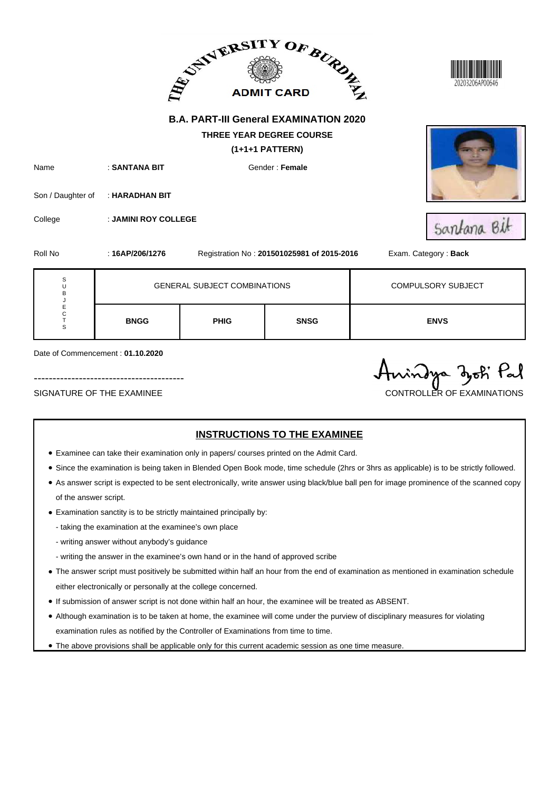|                            |                                                      | ADMIT CARD AND ALLEY                          |                                            |                                     |  |  |
|----------------------------|------------------------------------------------------|-----------------------------------------------|--------------------------------------------|-------------------------------------|--|--|
| Name                       | : SANTANA BIT                                        | <b>B.A. PART-III General EXAMINATION 2020</b> |                                            |                                     |  |  |
| Son / Daughter of          | : HARADHAN BIT                                       |                                               | Gender: Female                             |                                     |  |  |
| College<br>Roll No         | : JAMINI ROY COLLEGE<br>: 16AP/206/1276              |                                               | Registration No: 201501025981 of 2015-2016 | Santana Bit<br>Exam. Category: Back |  |  |
| S<br>Ù<br>B<br>J           |                                                      | <b>GENERAL SUBJECT COMBINATIONS</b>           |                                            | <b>COMPULSORY SUBJECT</b>           |  |  |
| E<br>$\mathsf C$<br>T<br>S | <b>BNGG</b>                                          | <b>PHIG</b>                                   | <b>SNSG</b>                                | <b>ENVS</b>                         |  |  |
|                            | Date of Commencement: 01.10.2020<br>Anindya zoti Pal |                                               |                                            |                                     |  |  |

#### SIGNATURE OF THE EXAMINEE CONTROLLER OF EXAMINATIONS

- Examinee can take their examination only in papers/ courses printed on the Admit Card.
- Since the examination is being taken in Blended Open Book mode, time schedule (2hrs or 3hrs as applicable) is to be strictly followed.
- As answer script is expected to be sent electronically, write answer using black/blue ball pen for image prominence of the scanned copy of the answer script.
- Examination sanctity is to be strictly maintained principally by:
	- taking the examination at the examinee's own place
	- writing answer without anybody's guidance
	- writing the answer in the examinee's own hand or in the hand of approved scribe
- The answer script must positively be submitted within half an hour from the end of examination as mentioned in examination schedule either electronically or personally at the college concerned.
- If submission of answer script is not done within half an hour, the examinee will be treated as ABSENT.
- Although examination is to be taken at home, the examinee will come under the purview of disciplinary measures for violating examination rules as notified by the Controller of Examinations from time to time.
- The above provisions shall be applicable only for this current academic session as one time measure.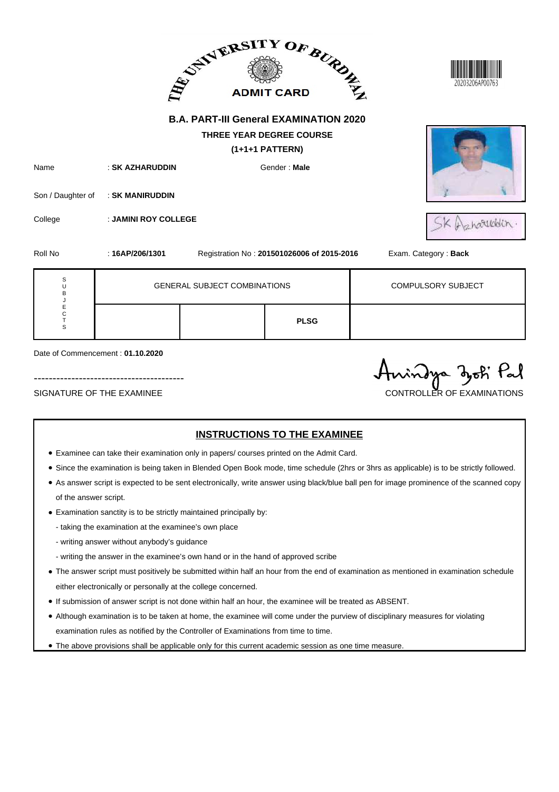|                                      |                                                            | ADMITCARD BURGE                               |                                               | 20203206AP0076            |
|--------------------------------------|------------------------------------------------------------|-----------------------------------------------|-----------------------------------------------|---------------------------|
|                                      |                                                            | <b>B.A. PART-III General EXAMINATION 2020</b> | THREE YEAR DEGREE COURSE<br>$(1+1+1$ PATTERN) |                           |
| Name<br>Son / Daughter of<br>College | : SK AZHARUDDIN<br>: SK MANIRUDDIN<br>: JAMINI ROY COLLEGE |                                               | Gender: Male                                  | pharitadin                |
| Roll No                              | : $16AP/206/1301$                                          |                                               | Registration No: 201501026006 of 2015-2016    | Exam. Category: Back      |
| S<br>U<br>B                          |                                                            | <b>GENERAL SUBJECT COMBINATIONS</b>           |                                               | <b>COMPULSORY SUBJECT</b> |
| J<br>E<br>C<br>T<br>S                |                                                            |                                               | <b>PLSG</b>                                   |                           |

Date of Commencement : **01.10.2020**

SIGNATURE OF THE EXAMINEE CONTROLLER OF EXAMINATIONS

----------------------------------------

Anindya zoti Pal

- Examinee can take their examination only in papers/ courses printed on the Admit Card.
- Since the examination is being taken in Blended Open Book mode, time schedule (2hrs or 3hrs as applicable) is to be strictly followed.
- As answer script is expected to be sent electronically, write answer using black/blue ball pen for image prominence of the scanned copy of the answer script.
- Examination sanctity is to be strictly maintained principally by:
	- taking the examination at the examinee's own place
	- writing answer without anybody's guidance
	- writing the answer in the examinee's own hand or in the hand of approved scribe
- The answer script must positively be submitted within half an hour from the end of examination as mentioned in examination schedule either electronically or personally at the college concerned.
- If submission of answer script is not done within half an hour, the examinee will be treated as ABSENT.
- Although examination is to be taken at home, the examinee will come under the purview of disciplinary measures for violating examination rules as notified by the Controller of Examinations from time to time.
- The above provisions shall be applicable only for this current academic session as one time measure.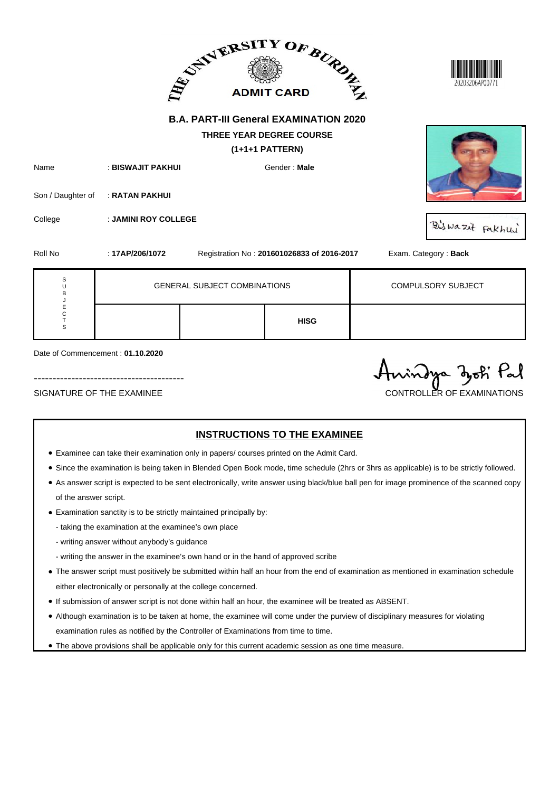|                                      |                                     | ADMIT CARD AND ALABORATION                                                                            | 20203206AP0077                             |                           |
|--------------------------------------|-------------------------------------|-------------------------------------------------------------------------------------------------------|--------------------------------------------|---------------------------|
|                                      |                                     | <b>B.A. PART-III General EXAMINATION 2020</b><br><b>THREE YEAR DEGREE COURSE</b><br>$(1+1+1$ PATTERN) |                                            |                           |
| Name<br>Son / Daughter of            | : BISWAJIT PAKHUI<br>: RATAN PAKHUI | Gender: Male                                                                                          |                                            |                           |
| College                              | : JAMINI ROY COLLEGE                |                                                                                                       |                                            | Biswazit Pakhui           |
| Roll No                              | : 17AP/206/1072                     |                                                                                                       | Registration No: 201601026833 of 2016-2017 | Exam. Category: Back      |
| $\mathbf S$<br>U<br>B<br>J<br>E<br>C |                                     | <b>GENERAL SUBJECT COMBINATIONS</b>                                                                   |                                            | <b>COMPULSORY SUBJECT</b> |
| $\top$<br>S                          |                                     |                                                                                                       | <b>HISG</b>                                |                           |

Date of Commencement : **01.10.2020**

SIGNATURE OF THE EXAMINEE CONTROLLER OF EXAMINATIONS

----------------------------------------

Anindya zoti Pal

- Examinee can take their examination only in papers/ courses printed on the Admit Card.
- Since the examination is being taken in Blended Open Book mode, time schedule (2hrs or 3hrs as applicable) is to be strictly followed.
- As answer script is expected to be sent electronically, write answer using black/blue ball pen for image prominence of the scanned copy of the answer script.
- Examination sanctity is to be strictly maintained principally by:
	- taking the examination at the examinee's own place
	- writing answer without anybody's guidance
	- writing the answer in the examinee's own hand or in the hand of approved scribe
- The answer script must positively be submitted within half an hour from the end of examination as mentioned in examination schedule either electronically or personally at the college concerned.
- If submission of answer script is not done within half an hour, the examinee will be treated as ABSENT.
- Although examination is to be taken at home, the examinee will come under the purview of disciplinary measures for violating examination rules as notified by the Controller of Examinations from time to time.
- The above provisions shall be applicable only for this current academic session as one time measure.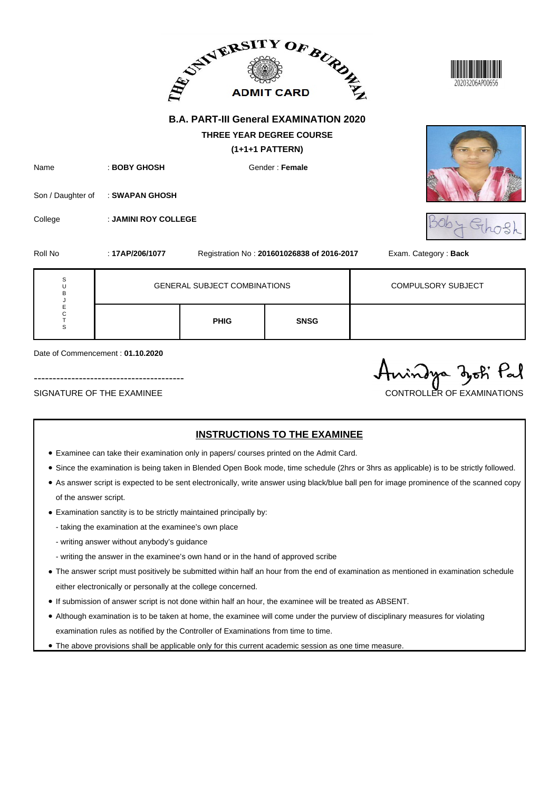|                       |                                  | ADMIT CARD AND ALLAST                         |                                                      | 20203206AP00656           |
|-----------------------|----------------------------------|-----------------------------------------------|------------------------------------------------------|---------------------------|
|                       |                                  | <b>B.A. PART-III General EXAMINATION 2020</b> |                                                      |                           |
|                       |                                  |                                               | <b>THREE YEAR DEGREE COURSE</b><br>$(1+1+1$ PATTERN) |                           |
| Name                  | : BOBY GHOSH                     |                                               | Gender: Female                                       |                           |
| Son / Daughter of     | : SWAPAN GHOSH                   |                                               |                                                      |                           |
| College               | : JAMINI ROY COLLEGE             |                                               |                                                      |                           |
| Roll No               | : 17AP/206/1077                  |                                               | Registration No: 201601026838 of 2016-2017           | Exam. Category: Back      |
| S<br>U<br>B           |                                  | <b>GENERAL SUBJECT COMBINATIONS</b>           |                                                      | <b>COMPULSORY SUBJECT</b> |
| J<br>E<br>C<br>T<br>S |                                  | <b>PHIG</b>                                   | <b>SNSG</b>                                          |                           |
|                       | Date of Commencement: 01.10.2020 |                                               |                                                      |                           |

| SIGNATURE OF THE EXAMINEE |  |  |
|---------------------------|--|--|

----------------------------------------

# Anindya zoti Pal SIGNATURE OF THE EXAMINEE CONTROLLER OF EXAMINATIONS

- Examinee can take their examination only in papers/ courses printed on the Admit Card.
- Since the examination is being taken in Blended Open Book mode, time schedule (2hrs or 3hrs as applicable) is to be strictly followed.
- As answer script is expected to be sent electronically, write answer using black/blue ball pen for image prominence of the scanned copy of the answer script.
- Examination sanctity is to be strictly maintained principally by:
	- taking the examination at the examinee's own place
	- writing answer without anybody's guidance
	- writing the answer in the examinee's own hand or in the hand of approved scribe
- The answer script must positively be submitted within half an hour from the end of examination as mentioned in examination schedule either electronically or personally at the college concerned.
- If submission of answer script is not done within half an hour, the examinee will be treated as ABSENT.
- Although examination is to be taken at home, the examinee will come under the purview of disciplinary measures for violating examination rules as notified by the Controller of Examinations from time to time.
- The above provisions shall be applicable only for this current academic session as one time measure.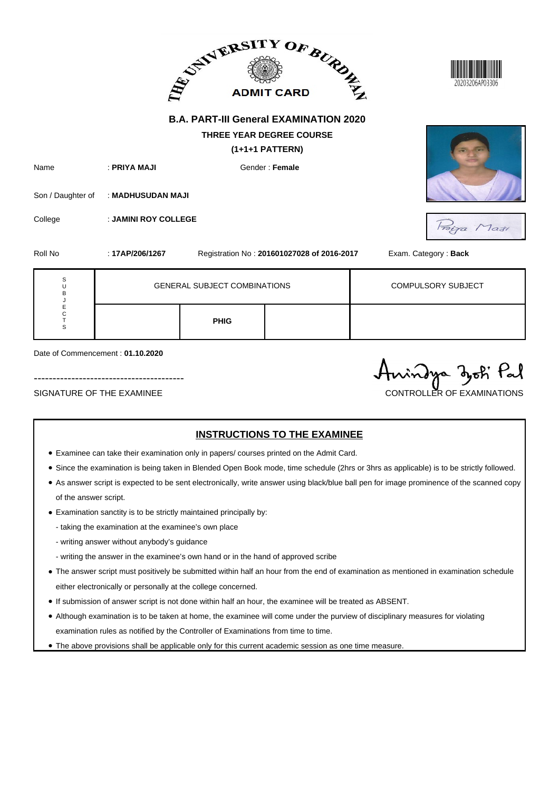|                            |                                  | ADMITCARD BURGE                               |                                                    | 20203206AP03306           |
|----------------------------|----------------------------------|-----------------------------------------------|----------------------------------------------------|---------------------------|
|                            |                                  | <b>B.A. PART-III General EXAMINATION 2020</b> |                                                    |                           |
|                            |                                  |                                               | <b>THREE YEAR DEGREE COURSE</b><br>(1+1+1 PATTERN) |                           |
| Name                       | : PRIYA MAJI                     |                                               | Gender: Female                                     |                           |
| Son / Daughter of          | : MADHUSUDAN MAJI                |                                               |                                                    |                           |
| College                    | : JAMINI ROY COLLEGE             |                                               |                                                    | Fraina Maji               |
| Roll No                    | : 17AP/206/1267                  |                                               | Registration No: 201601027028 of 2016-2017         | Exam. Category: Back      |
| S<br>U<br>B                |                                  | <b>GENERAL SUBJECT COMBINATIONS</b>           |                                                    | <b>COMPULSORY SUBJECT</b> |
| J<br>E<br>C<br>$\top$<br>S |                                  | <b>PHIG</b>                                   |                                                    |                           |
|                            | Date of Commencement: 01.10.2020 |                                               |                                                    |                           |

|                           | Aningya zoti Pal           |
|---------------------------|----------------------------|
| SIGNATURE OF THE EXAMINEE | CONTROLLER OF EXAMINATIONS |

- Examinee can take their examination only in papers/ courses printed on the Admit Card.
- Since the examination is being taken in Blended Open Book mode, time schedule (2hrs or 3hrs as applicable) is to be strictly followed.
- As answer script is expected to be sent electronically, write answer using black/blue ball pen for image prominence of the scanned copy of the answer script.
- Examination sanctity is to be strictly maintained principally by:
	- taking the examination at the examinee's own place
	- writing answer without anybody's guidance
	- writing the answer in the examinee's own hand or in the hand of approved scribe
- The answer script must positively be submitted within half an hour from the end of examination as mentioned in examination schedule either electronically or personally at the college concerned.
- If submission of answer script is not done within half an hour, the examinee will be treated as ABSENT.
- Although examination is to be taken at home, the examinee will come under the purview of disciplinary measures for violating examination rules as notified by the Controller of Examinations from time to time.
- The above provisions shall be applicable only for this current academic session as one time measure.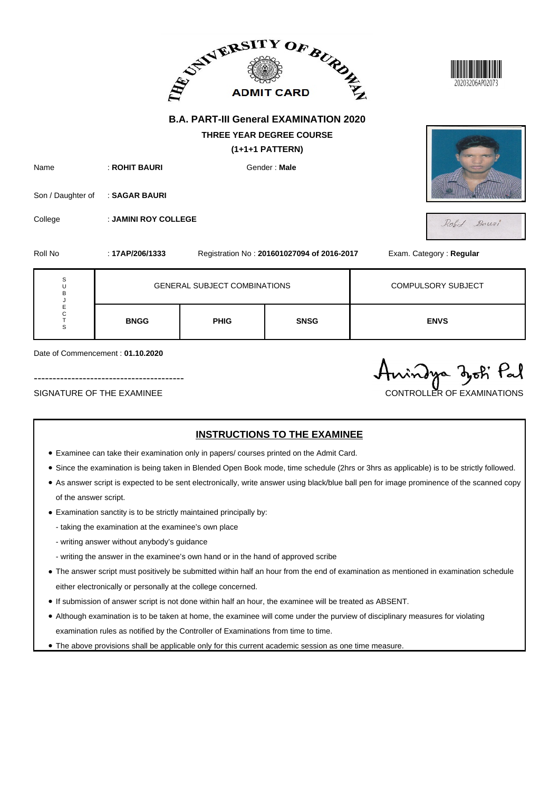|                                                      |                                                | ADMIT CARD AND ALL AND A                                                             |             |                           |  |
|------------------------------------------------------|------------------------------------------------|--------------------------------------------------------------------------------------|-------------|---------------------------|--|
|                                                      |                                                | <b>B.A. PART-III General EXAMINATION 2020</b>                                        |             |                           |  |
| Name<br>Son / Daughter of                            | : ROHIT BAURI<br>Gender: Male<br>: SAGAR BAURI |                                                                                      |             |                           |  |
| College<br>Roll No                                   | : JAMINI ROY COLLEGE<br>: 17AP/206/1333        | Rohit Bauzi<br>Exam. Category: Regular<br>Registration No: 201601027094 of 2016-2017 |             |                           |  |
| S<br>U<br>B                                          |                                                | <b>GENERAL SUBJECT COMBINATIONS</b>                                                  |             | <b>COMPULSORY SUBJECT</b> |  |
| J<br>E<br>C<br>$\mathsf T$<br>S                      | <b>BNGG</b>                                    | <b>PHIG</b>                                                                          | <b>SNSG</b> | <b>ENVS</b>               |  |
| Date of Commencement: 01.10.2020<br>Anindya doch Pal |                                                |                                                                                      |             |                           |  |

#### SIGNATURE OF THE EXAMINEE CONTROLLER OF EXAMINATIONS

#### **INSTRUCTIONS TO THE EXAMINEE**

" ()

- Examinee can take their examination only in papers/ courses printed on the Admit Card.
- Since the examination is being taken in Blended Open Book mode, time schedule (2hrs or 3hrs as applicable) is to be strictly followed.
- As answer script is expected to be sent electronically, write answer using black/blue ball pen for image prominence of the scanned copy of the answer script.
- Examination sanctity is to be strictly maintained principally by:
	- taking the examination at the examinee's own place
	- writing answer without anybody's guidance
	- writing the answer in the examinee's own hand or in the hand of approved scribe
- The answer script must positively be submitted within half an hour from the end of examination as mentioned in examination schedule either electronically or personally at the college concerned.
- If submission of answer script is not done within half an hour, the examinee will be treated as ABSENT.
- Although examination is to be taken at home, the examinee will come under the purview of disciplinary measures for violating examination rules as notified by the Controller of Examinations from time to time.
- The above provisions shall be applicable only for this current academic session as one time measure.